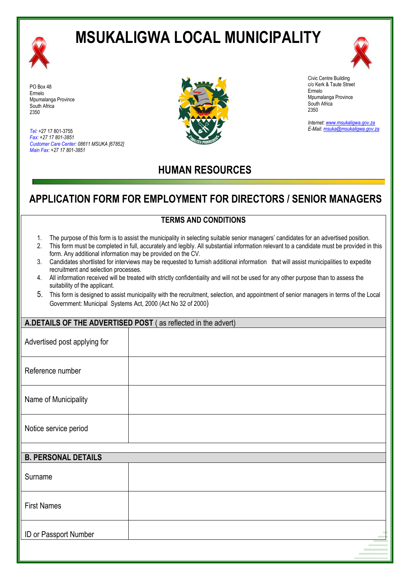

# **MSUKALIGWA LOCAL MUNICIPALITY**



PO Box 48 Ermelo Mpumalanga Province South Africa 2350

*Tel:* +27 17 801-3755 *Fax: +27 17 801-3851 Customer Care Center: 08611 MSUKA [67852] Main Fax: +27 17 801-3851*



Civic Centre Building c/o Kerk & Taute Street Ermelo Mpumalanga Province South Africa 2350

*Internet[: www.msukaligwa.gov.za](http://www.msukaligwa.gov.za/) E-Mail[: msuka@msukaligwa.gov.za](mailto:msuka@msukaligwa.gov.za)*

## **HUMAN RESOURCES**

## **APPLICATION FORM FOR EMPLOYMENT FOR DIRECTORS / SENIOR MANAGERS**

#### **TERMS AND CONDITIONS**

- 1. The purpose of this form is to assist the municipality in selecting suitable senior managers' candidates for an advertised position.
- 2. This form must be completed in full, accurately and legibly. All substantial information relevant to a candidate must be provided in this form. Any additional information may be provided on the CV.
- 3. Candidates shortlisted for interviews may be requested to furnish additional information that will assist municipalities to expedite recruitment and selection processes.
- 4. All information received will be treated with strictly confidentiality and will not be used for any other purpose than to assess the suitability of the applicant.
- 5. This form is designed to assist municipality with the recruitment, selection, and appointment of senior managers in terms of the Local Government: Municipal Systems Act, 2000 (Act No 32 of 2000)

#### **A.DETAILS OF THE ADVERTISED POST** ( as reflected in the advert)

| Advertised post applying for |  |
|------------------------------|--|
| Reference number             |  |
| Name of Municipality         |  |
| Notice service period        |  |

| <b>B. PERSONAL DETAILS</b> |                                                  |
|----------------------------|--------------------------------------------------|
| Surname                    |                                                  |
| <b>First Names</b>         |                                                  |
| ID or Passport Number      | 45.00<br><b>CONTRACTOR</b><br>and a state of the |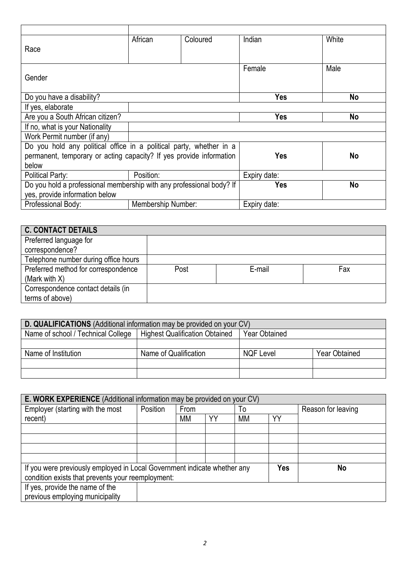| Race                                                                 | African   | Coloured | Indian       | White |
|----------------------------------------------------------------------|-----------|----------|--------------|-------|
|                                                                      |           |          |              |       |
|                                                                      |           |          | Female       | Male  |
| Gender                                                               |           |          |              |       |
| Do you have a disability?                                            |           |          | Yes          | No    |
| If yes, elaborate                                                    |           |          |              |       |
| Are you a South African citizen?                                     |           |          | Yes          | No    |
| If no, what is your Nationality                                      |           |          |              |       |
| Work Permit number (if any)                                          |           |          |              |       |
| Do you hold any political office in a political party, whether in a  |           |          |              |       |
| permanent, temporary or acting capacity? If yes provide information  |           |          | Yes          | No    |
| below                                                                |           |          |              |       |
| Political Party:                                                     | Position: |          | Expiry date: |       |
| Do you hold a professional membership with any professional body? If |           |          | Yes          | No    |
| yes, provide information below                                       |           |          |              |       |
| Professional Body:<br><b>Membership Number:</b>                      |           |          | Expiry date: |       |

| <b>C. CONTACT DETAILS</b>            |      |        |     |
|--------------------------------------|------|--------|-----|
| Preferred language for               |      |        |     |
| correspondence?                      |      |        |     |
| Telephone number during office hours |      |        |     |
| Preferred method for correspondence  | Post | E-mail | Fax |
| (Mark with $X$ )                     |      |        |     |
| Correspondence contact details (in   |      |        |     |
| terms of above)                      |      |        |     |

| D. QUALIFICATIONS (Additional information may be provided on your CV) |                                                        |           |                      |  |  |
|-----------------------------------------------------------------------|--------------------------------------------------------|-----------|----------------------|--|--|
| Name of school / Technical College                                    | Highest Qualification Obtained<br><b>Year Obtained</b> |           |                      |  |  |
|                                                                       |                                                        |           |                      |  |  |
| Name of Institution                                                   | Name of Qualification                                  | NQF Level | <b>Year Obtained</b> |  |  |
|                                                                       |                                                        |           |                      |  |  |
|                                                                       |                                                        |           |                      |  |  |

| E. WORK EXPERIENCE (Additional information may be provided on your CV)   |          |      |    |    |     |    |                    |
|--------------------------------------------------------------------------|----------|------|----|----|-----|----|--------------------|
| Employer (starting with the most                                         | Position | From |    | To |     |    | Reason for leaving |
| recent)                                                                  |          | МM   | YY | МM | YY  |    |                    |
|                                                                          |          |      |    |    |     |    |                    |
|                                                                          |          |      |    |    |     |    |                    |
|                                                                          |          |      |    |    |     |    |                    |
|                                                                          |          |      |    |    |     |    |                    |
| If you were previously employed in Local Government indicate whether any |          |      |    |    | Yes | No |                    |
| condition exists that prevents your reemployment:                        |          |      |    |    |     |    |                    |
| If yes, provide the name of the                                          |          |      |    |    |     |    |                    |
| previous employing municipality                                          |          |      |    |    |     |    |                    |